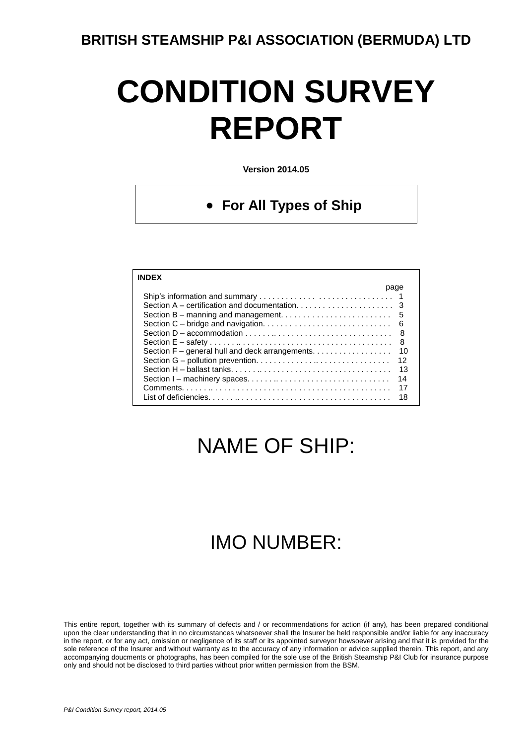# **CONDITION SURVEY REPORT**

**Version 2014.05**

#### **For All Types of Ship**

| <b>INDFX</b>                                                                                                |      |
|-------------------------------------------------------------------------------------------------------------|------|
|                                                                                                             | page |
|                                                                                                             |      |
|                                                                                                             |      |
|                                                                                                             |      |
|                                                                                                             |      |
| Section $D - accommodation \dots \dots \dots \dots \dots \dots \dots \dots \dots \dots \dots \dots \dots$ 8 |      |
|                                                                                                             | 8    |
| Section F – general hull and deck arrangements.                                                             | 10   |
|                                                                                                             | 12   |
|                                                                                                             | 13   |
|                                                                                                             | 14   |
|                                                                                                             | 17   |
|                                                                                                             | 18   |

# NAME OF SHIP:

## IMO NUMBER:

This entire report, together with its summary of defects and / or recommendations for action (if any), has been prepared conditional upon the clear understanding that in no circumstances whatsoever shall the Insurer be held responsible and/or liable for any inaccuracy in the report, or for any act, omission or negligence of its staff or its appointed surveyor howsoever arising and that it is provided for the sole reference of the Insurer and without warranty as to the accuracy of any information or advice supplied therein. This report, and any accompanying doucments or photographs, has been compiled for the sole use of the British Steamship P&I Club for insurance purpose only and should not be disclosed to third parties without prior written permission from the BSM.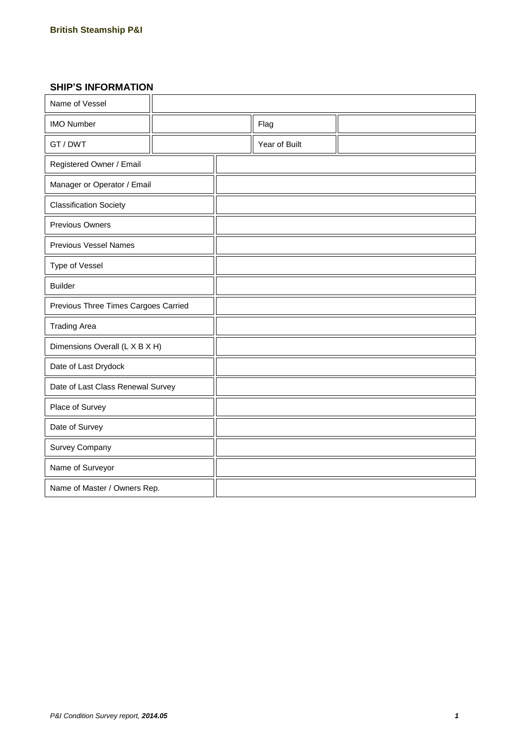#### **SHIP'S INFORMATION**

| Name of Vessel                       |  |  |               |  |
|--------------------------------------|--|--|---------------|--|
| <b>IMO Number</b>                    |  |  | Flag          |  |
| GT / DWT                             |  |  | Year of Built |  |
| Registered Owner / Email             |  |  |               |  |
| Manager or Operator / Email          |  |  |               |  |
| <b>Classification Society</b>        |  |  |               |  |
| <b>Previous Owners</b>               |  |  |               |  |
| <b>Previous Vessel Names</b>         |  |  |               |  |
| Type of Vessel                       |  |  |               |  |
| <b>Builder</b>                       |  |  |               |  |
| Previous Three Times Cargoes Carried |  |  |               |  |
| <b>Trading Area</b>                  |  |  |               |  |
| Dimensions Overall (L X B X H)       |  |  |               |  |
| Date of Last Drydock                 |  |  |               |  |
| Date of Last Class Renewal Survey    |  |  |               |  |
| Place of Survey                      |  |  |               |  |
| Date of Survey                       |  |  |               |  |
| <b>Survey Company</b>                |  |  |               |  |
| Name of Surveyor                     |  |  |               |  |
| Name of Master / Owners Rep.         |  |  |               |  |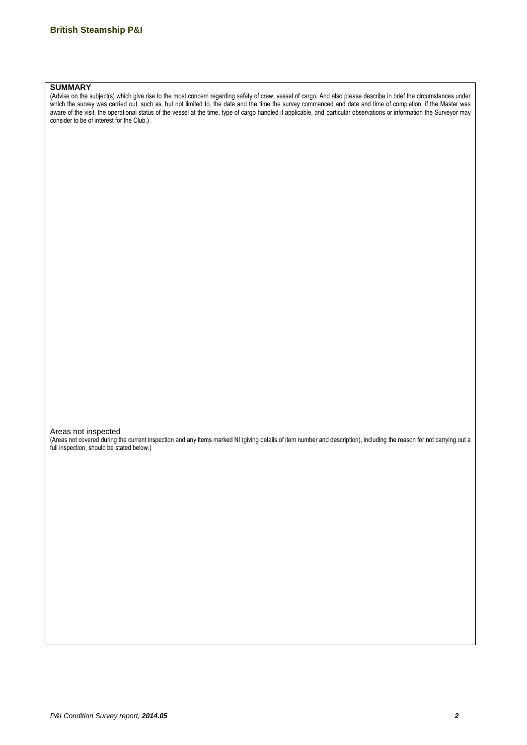#### **SUMMARY**

(Advise on the subject(s) which give rise to the most concern regarding safety of crew, vessel of cargo. And also please describe in brief the circumstances under which the survey was carried out, such as, but not limited to, the date and the time the survey commenced and date and time of completion, if the Master was aware of the visit, the operational status of the vessel at the time, type of cargo handled if applicable, and particular observations or information the Surveyor may consider to be of interest for the Club.)

Areas not inspected

(Areas not covered during the current inspection and any items marked NI (giving details of item number and description), including the reason for not carrying out a full inspection, should be stated below.)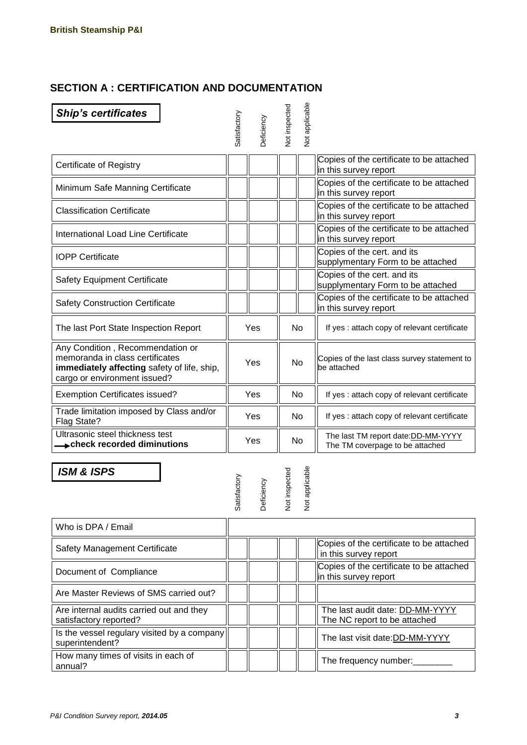#### **SECTION A : CERTIFICATION AND DOCUMENTATION**

| <b>Ship's certificates</b>                                                                                                                         | Satisfactory | <b>Deficiency</b> | Not inspected        | <b>Not applicable</b> |                                                                        |
|----------------------------------------------------------------------------------------------------------------------------------------------------|--------------|-------------------|----------------------|-----------------------|------------------------------------------------------------------------|
| Certificate of Registry                                                                                                                            |              |                   |                      |                       | Copies of the certificate to be attached<br>in this survey report      |
| Minimum Safe Manning Certificate                                                                                                                   |              |                   |                      |                       | Copies of the certificate to be attached<br>in this survey report      |
| <b>Classification Certificate</b>                                                                                                                  |              |                   |                      |                       | Copies of the certificate to be attached<br>in this survey report      |
| International Load Line Certificate                                                                                                                |              |                   |                      |                       | Copies of the certificate to be attached<br>in this survey report      |
| <b>IOPP Certificate</b>                                                                                                                            |              |                   |                      |                       | Copies of the cert. and its<br>supplymentary Form to be attached       |
| <b>Safety Equipment Certificate</b>                                                                                                                |              |                   |                      |                       | Copies of the cert. and its<br>supplymentary Form to be attached       |
| <b>Safety Construction Certificate</b>                                                                                                             |              |                   |                      |                       | Copies of the certificate to be attached<br>in this survey report      |
| The last Port State Inspection Report                                                                                                              |              | Yes               |                      | <b>No</b>             | If yes: attach copy of relevant certificate                            |
| Any Condition, Recommendation or<br>memoranda in class certificates<br>immediately affecting safety of life, ship,<br>cargo or environment issued? | Yes          |                   | <b>No</b>            |                       | Copies of the last class survey statement to<br>be attached            |
| <b>Exemption Certificates issued?</b>                                                                                                              |              | Yes               |                      | <b>No</b>             | If yes : attach copy of relevant certificate                           |
| Trade limitation imposed by Class and/or<br>Flag State?                                                                                            | Yes          |                   |                      | No                    | If yes : attach copy of relevant certificate                           |
| Ultrasonic steel thickness test<br><b>→ check recorded diminutions</b>                                                                             |              | Yes               |                      | <b>No</b>             | The last TM report date: DD-MM-YYYY<br>The TM coverpage to be attached |
| <b>ISM &amp; ISPS</b>                                                                                                                              | Satisfactory | <b>Deficiency</b> | <b>Vot inspected</b> | <b>Vot applicable</b> |                                                                        |

| Who is DPA / Email                                                 |  |  |                                                                   |
|--------------------------------------------------------------------|--|--|-------------------------------------------------------------------|
| Safety Management Certificate                                      |  |  | Copies of the certificate to be attached<br>in this survey report |
| Document of Compliance                                             |  |  | Copies of the certificate to be attached<br>in this survey report |
| Are Master Reviews of SMS carried out?                             |  |  |                                                                   |
| Are internal audits carried out and they<br>satisfactory reported? |  |  | The last audit date: DD-MM-YYYY<br>The NC report to be attached   |
| Is the vessel regulary visited by a company<br>superintendent?     |  |  | The last visit date:DD-MM-YYYY                                    |
| How many times of visits in each of<br>annual?                     |  |  | The frequency number:                                             |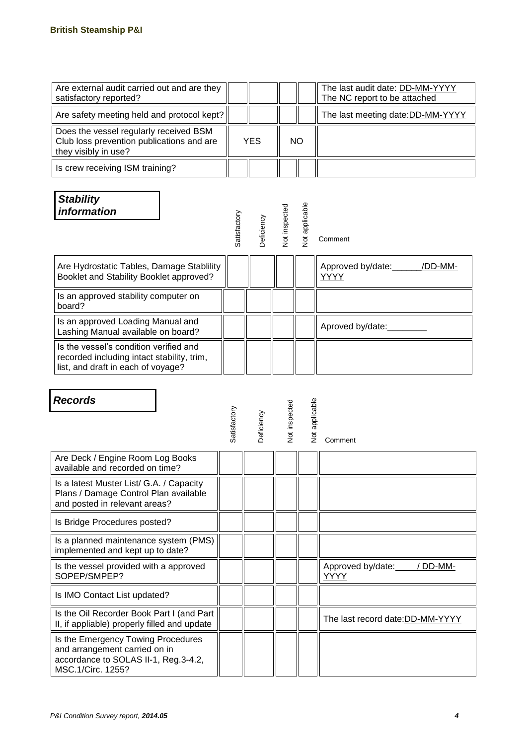| Are external audit carried out and are they<br>satisfactory reported?                                       |            |  |    | The last audit date: DD-MM-YYYY<br>The NC report to be attached |
|-------------------------------------------------------------------------------------------------------------|------------|--|----|-----------------------------------------------------------------|
| Are safety meeting held and protocol kept?                                                                  |            |  |    | The last meeting date: DD-MM-YYYY                               |
| Does the vessel regularly received BSM<br>Club loss prevention publications and are<br>they visibly in use? | <b>YES</b> |  | NO |                                                                 |
| Is crew receiving ISM training?                                                                             |            |  |    |                                                                 |

| <b>Stability</b><br><i>information</i>                                                                                     | Satisfactory | Deficiency | Not inspected | <b>Not applicable</b> | Comment                           |
|----------------------------------------------------------------------------------------------------------------------------|--------------|------------|---------------|-----------------------|-----------------------------------|
| Are Hydrostatic Tables, Damage Stablility<br>Booklet and Stability Booklet approved?                                       |              |            |               |                       | Approved by/date: /DD-MM-<br>YYYY |
| Is an approved stability computer on<br>board?                                                                             |              |            |               |                       |                                   |
| Is an approved Loading Manual and<br>Lashing Manual available on board?                                                    |              |            |               |                       | Aproved by/date:                  |
| Is the vessel's condition verified and<br>recorded including intact stability, trim,<br>list, and draft in each of voyage? |              |            |               |                       |                                   |

| <b>Records</b>                                                                                                                   | Satisfactory | Deficiency | <b>Vot inspected</b> | <b>Vot applicable</b> | Comment                               |
|----------------------------------------------------------------------------------------------------------------------------------|--------------|------------|----------------------|-----------------------|---------------------------------------|
| Are Deck / Engine Room Log Books<br>available and recorded on time?                                                              |              |            |                      |                       |                                       |
| Is a latest Muster List/ G.A. / Capacity<br>Plans / Damage Control Plan available<br>and posted in relevant areas?               |              |            |                      |                       |                                       |
| Is Bridge Procedures posted?                                                                                                     |              |            |                      |                       |                                       |
| Is a planned maintenance system (PMS)<br>implemented and kept up to date?                                                        |              |            |                      |                       |                                       |
| Is the vessel provided with a approved<br>SOPEP/SMPEP?                                                                           |              |            |                      |                       | Approved by/date:<br>/ DD-MM-<br>YYYY |
| Is IMO Contact List updated?                                                                                                     |              |            |                      |                       |                                       |
| Is the Oil Recorder Book Part I (and Part<br>II, if appliable) properly filled and update                                        |              |            |                      |                       | The last record date: DD-MM-YYYY      |
| Is the Emergency Towing Procedures<br>and arrangement carried on in<br>accordance to SOLAS II-1, Reg.3-4.2,<br>MSC.1/Circ. 1255? |              |            |                      |                       |                                       |

٦

Г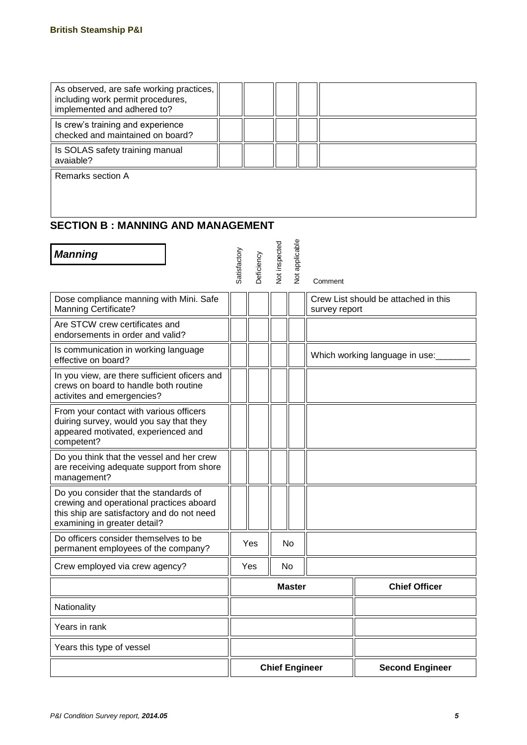| As observed, are safe working practices,<br>including work permit procedures,<br>implemented and adhered to? |  |  |  |
|--------------------------------------------------------------------------------------------------------------|--|--|--|
| Is crew's training and experience<br>checked and maintained on board?                                        |  |  |  |
| Is SOLAS safety training manual<br>avaiable?                                                                 |  |  |  |
| Remarks section A                                                                                            |  |  |  |

#### **SECTION B : MANNING AND MANAGEMENT**

| <b>Manning</b>                                                                                                                                                  | Satisfactory  |            | <b>Vot inspected</b> | <b>Vot applicable</b> |                                                       |
|-----------------------------------------------------------------------------------------------------------------------------------------------------------------|---------------|------------|----------------------|-----------------------|-------------------------------------------------------|
|                                                                                                                                                                 |               | Deficiency |                      |                       | Comment                                               |
| Dose compliance manning with Mini. Safe<br><b>Manning Certificate?</b>                                                                                          |               |            |                      |                       | Crew List should be attached in this<br>survey report |
| Are STCW crew certificates and<br>endorsements in order and valid?                                                                                              |               |            |                      |                       |                                                       |
| Is communication in working language<br>effective on board?                                                                                                     |               |            |                      |                       | Which working language in use:                        |
| In you view, are there sufficient oficers and<br>crews on board to handle both routine<br>activites and emergencies?                                            |               |            |                      |                       |                                                       |
| From your contact with various officers<br>duiring survey, would you say that they<br>appeared motivated, experienced and<br>competent?                         |               |            |                      |                       |                                                       |
| Do you think that the vessel and her crew<br>are receiving adequate support from shore<br>management?                                                           |               |            |                      |                       |                                                       |
| Do you consider that the standards of<br>crewing and operational practices aboard<br>this ship are satisfactory and do not need<br>examining in greater detail? |               |            |                      |                       |                                                       |
| Do officers consider themselves to be<br>permanent employees of the company?                                                                                    |               | Yes        |                      | No                    |                                                       |
| Crew employed via crew agency?                                                                                                                                  |               | Yes<br>No  |                      |                       |                                                       |
|                                                                                                                                                                 | <b>Master</b> |            |                      |                       | <b>Chief Officer</b>                                  |
| Nationality                                                                                                                                                     |               |            |                      |                       |                                                       |
| Years in rank                                                                                                                                                   |               |            |                      |                       |                                                       |
| Years this type of vessel                                                                                                                                       |               |            |                      |                       |                                                       |
|                                                                                                                                                                 |               |            |                      |                       | <b>Chief Engineer</b><br><b>Second Engineer</b>       |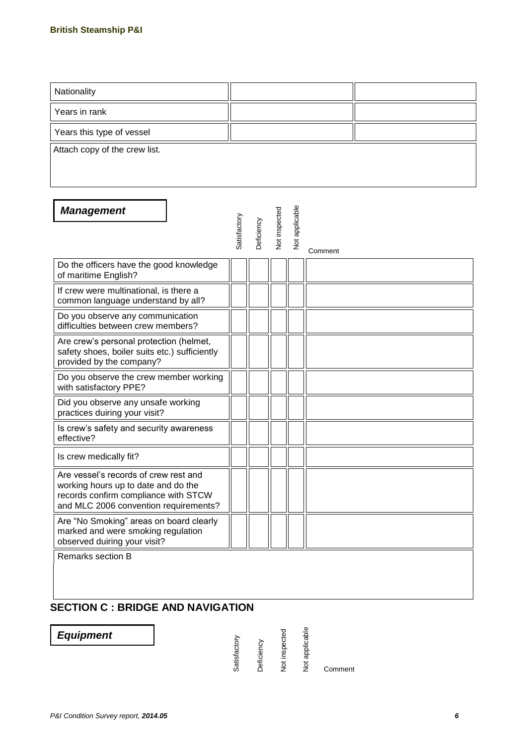| Nationality                                                                                                                                                   |              |            |               |                |         |  |
|---------------------------------------------------------------------------------------------------------------------------------------------------------------|--------------|------------|---------------|----------------|---------|--|
| Years in rank                                                                                                                                                 |              |            |               |                |         |  |
| Years this type of vessel                                                                                                                                     |              |            |               |                |         |  |
| Attach copy of the crew list.                                                                                                                                 |              |            |               |                |         |  |
| <b>Management</b>                                                                                                                                             | Satisfactory | Deficiency | Not inspected | Not applicable | Comment |  |
| Do the officers have the good knowledge<br>of maritime English?                                                                                               |              |            |               |                |         |  |
| If crew were multinational, is there a<br>common language understand by all?                                                                                  |              |            |               |                |         |  |
| Do you observe any communication<br>difficulties between crew members?                                                                                        |              |            |               |                |         |  |
| Are crew's personal protection (helmet,<br>safety shoes, boiler suits etc.) sufficiently<br>provided by the company?                                          |              |            |               |                |         |  |
| Do you observe the crew member working<br>with satisfactory PPE?                                                                                              |              |            |               |                |         |  |
| Did you observe any unsafe working<br>practices duiring your visit?                                                                                           |              |            |               |                |         |  |
| Is crew's safety and security awareness<br>effective?                                                                                                         |              |            |               |                |         |  |
| Is crew medically fit?                                                                                                                                        |              |            |               |                |         |  |
| Are vessel's records of crew rest and<br>working hours up to date and do the<br>records confirm compliance with STCW<br>and MLC 2006 convention requirements? |              |            |               |                |         |  |
| Are "No Smoking" areas on board clearly<br>marked and were smoking regulation<br>observed duiring your visit?                                                 |              |            |               |                |         |  |
| Remarks section B<br><b>SECTION C: BRIDGE AND NAVIGATION</b>                                                                                                  |              |            |               |                |         |  |

*Equipment*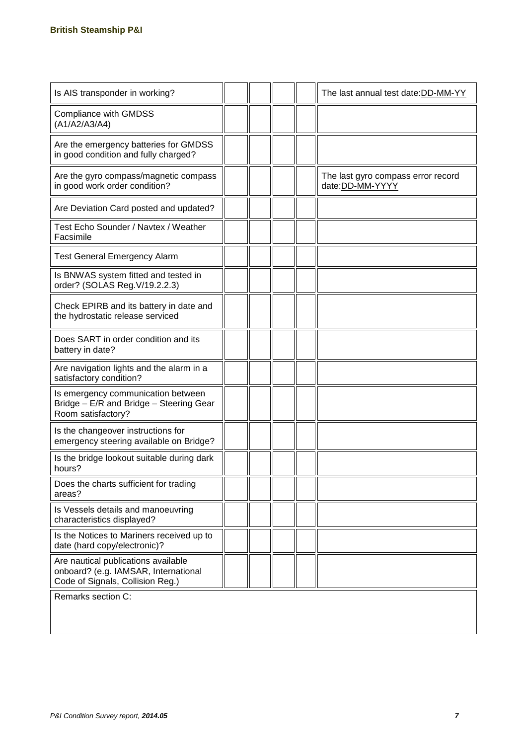| Is AIS transponder in working?                                                                                  |  |  | The last annual test date:DD-MM-YY                     |
|-----------------------------------------------------------------------------------------------------------------|--|--|--------------------------------------------------------|
| <b>Compliance with GMDSS</b><br>(A1/A2/A3/A4)                                                                   |  |  |                                                        |
| Are the emergency batteries for GMDSS<br>in good condition and fully charged?                                   |  |  |                                                        |
| Are the gyro compass/magnetic compass<br>in good work order condition?                                          |  |  | The last gyro compass error record<br>date: DD-MM-YYYY |
| Are Deviation Card posted and updated?                                                                          |  |  |                                                        |
| Test Echo Sounder / Navtex / Weather<br>Facsimile                                                               |  |  |                                                        |
| <b>Test General Emergency Alarm</b>                                                                             |  |  |                                                        |
| Is BNWAS system fitted and tested in<br>order? (SOLAS Reg. V/19.2.2.3)                                          |  |  |                                                        |
| Check EPIRB and its battery in date and<br>the hydrostatic release serviced                                     |  |  |                                                        |
| Does SART in order condition and its<br>battery in date?                                                        |  |  |                                                        |
| Are navigation lights and the alarm in a<br>satisfactory condition?                                             |  |  |                                                        |
| Is emergency communication between<br>Bridge - E/R and Bridge - Steering Gear<br>Room satisfactory?             |  |  |                                                        |
| Is the changeover instructions for<br>emergency steering available on Bridge?                                   |  |  |                                                        |
| Is the bridge lookout suitable during dark<br>hours?                                                            |  |  |                                                        |
| Does the charts sufficient for trading<br>areas?                                                                |  |  |                                                        |
| Is Vessels details and manoeuvring<br>characteristics displayed?                                                |  |  |                                                        |
| Is the Notices to Mariners received up to<br>date (hard copy/electronic)?                                       |  |  |                                                        |
| Are nautical publications available<br>onboard? (e.g. IAMSAR, International<br>Code of Signals, Collision Reg.) |  |  |                                                        |
| Remarks section C:                                                                                              |  |  |                                                        |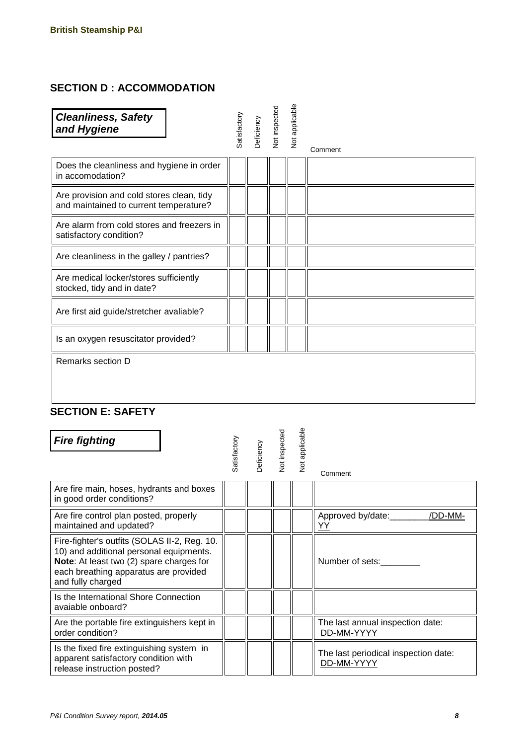#### **SECTION D : ACCOMMODATION**

| <b>Cleanliness, Safety</b><br>and Hygiene                                                                                                                                                         | Satisfactory | Deficiency | Not inspected | Not applicable | Comment                         |
|---------------------------------------------------------------------------------------------------------------------------------------------------------------------------------------------------|--------------|------------|---------------|----------------|---------------------------------|
| Does the cleanliness and hygiene in order<br>in accomodation?                                                                                                                                     |              |            |               |                |                                 |
| Are provision and cold stores clean, tidy<br>and maintained to current temperature?                                                                                                               |              |            |               |                |                                 |
| Are alarm from cold stores and freezers in<br>satisfactory condition?                                                                                                                             |              |            |               |                |                                 |
| Are cleanliness in the galley / pantries?                                                                                                                                                         |              |            |               |                |                                 |
| Are medical locker/stores sufficiently<br>stocked, tidy and in date?                                                                                                                              |              |            |               |                |                                 |
| Are first aid guide/stretcher avaliable?                                                                                                                                                          |              |            |               |                |                                 |
| Is an oxygen resuscitator provided?                                                                                                                                                               |              |            |               |                |                                 |
| Remarks section D                                                                                                                                                                                 |              |            |               |                |                                 |
| <b>SECTION E: SAFETY</b><br><b>Fire fighting</b>                                                                                                                                                  | Satisfactory | Deficiency | Not inspected | Not applicable | Comment                         |
| Are fire main, hoses, hydrants and boxes<br>in good order conditions?                                                                                                                             |              |            |               |                |                                 |
| Are fire control plan posted, properly<br>maintained and updated?                                                                                                                                 |              |            |               |                | Approved by/date: /DD-MM-<br>YY |
| Fire-fighter's outfits (SOLAS II-2, Reg. 10.<br>10) and additional personal equipments.<br>Note: At least two (2) spare charges for<br>each breathing apparatus are provided<br>and fully charged |              |            |               |                | Number of sets:                 |

| and rany ondraou                                                                                                 |  |  |                                                    |
|------------------------------------------------------------------------------------------------------------------|--|--|----------------------------------------------------|
| Is the International Shore Connection<br>avaiable onboard?                                                       |  |  |                                                    |
| Are the portable fire extinguishers kept in<br>order condition?                                                  |  |  | The last annual inspection date:<br>DD-MM-YYYY     |
| Is the fixed fire extinguishing system in<br>apparent satisfactory condition with<br>release instruction posted? |  |  | The last periodical inspection date:<br>DD-MM-YYYY |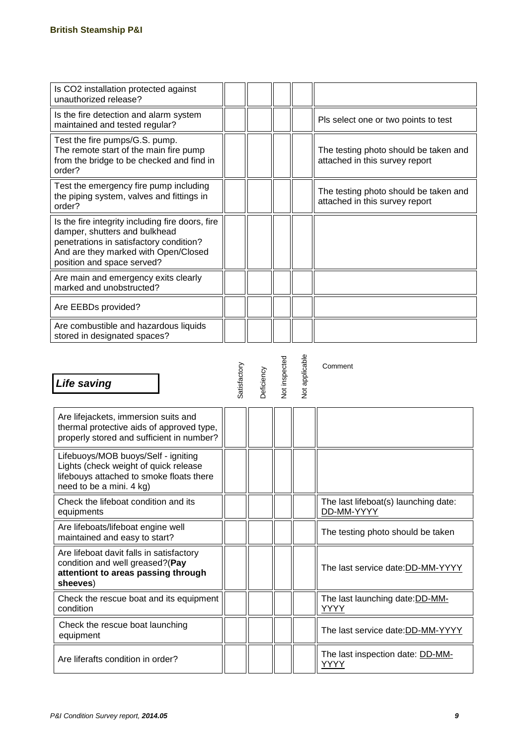| Is CO2 installation protected against<br>unauthorized release?                                                                                                                                     |  |  |                                                                         |
|----------------------------------------------------------------------------------------------------------------------------------------------------------------------------------------------------|--|--|-------------------------------------------------------------------------|
| Is the fire detection and alarm system<br>maintained and tested regular?                                                                                                                           |  |  | Pls select one or two points to test                                    |
| Test the fire pumps/G.S. pump.<br>The remote start of the main fire pump<br>from the bridge to be checked and find in<br>order?                                                                    |  |  | The testing photo should be taken and<br>attached in this survey report |
| Test the emergency fire pump including<br>the piping system, valves and fittings in<br>order?                                                                                                      |  |  | The testing photo should be taken and<br>attached in this survey report |
| Is the fire integrity including fire doors, fire<br>damper, shutters and bulkhead<br>penetrations in satisfactory condition?<br>And are they marked with Open/Closed<br>position and space served? |  |  |                                                                         |
| Are main and emergency exits clearly<br>marked and unobstructed?                                                                                                                                   |  |  |                                                                         |
| Are EEBDs provided?                                                                                                                                                                                |  |  |                                                                         |
| Are combustible and hazardous liquids<br>stored in designated spaces?                                                                                                                              |  |  |                                                                         |

| Life saving                                                                                                                                          | Satisfactory | Deficiency | <b>Not inspected</b> | <b>Not applicable</b> | Comment                                            |
|------------------------------------------------------------------------------------------------------------------------------------------------------|--------------|------------|----------------------|-----------------------|----------------------------------------------------|
| Are lifejackets, immersion suits and<br>thermal protective aids of approved type,<br>properly stored and sufficient in number?                       |              |            |                      |                       |                                                    |
| Lifebuoys/MOB buoys/Self - igniting<br>Lights (check weight of quick release<br>lifebouys attached to smoke floats there<br>need to be a mini. 4 kg) |              |            |                      |                       |                                                    |
| Check the lifeboat condition and its<br>equipments                                                                                                   |              |            |                      |                       | The last lifeboat(s) launching date:<br>DD-MM-YYYY |
| Are lifeboats/lifeboat engine well<br>maintained and easy to start?                                                                                  |              |            |                      |                       | The testing photo should be taken                  |
| Are lifeboat davit falls in satisfactory<br>condition and well greased?(Pay<br>attentiont to areas passing through<br>sheeves)                       |              |            |                      |                       | The last service date:DD-MM-YYYY                   |
| Check the rescue boat and its equipment<br>condition                                                                                                 |              |            |                      |                       | The last launching date: DD-MM-<br>YYYY            |
| Check the rescue boat launching<br>equipment                                                                                                         |              |            |                      |                       | The last service date: DD-MM-YYYY                  |
| Are liferafts condition in order?                                                                                                                    |              |            |                      |                       | The last inspection date: DD-MM-<br>YYYY           |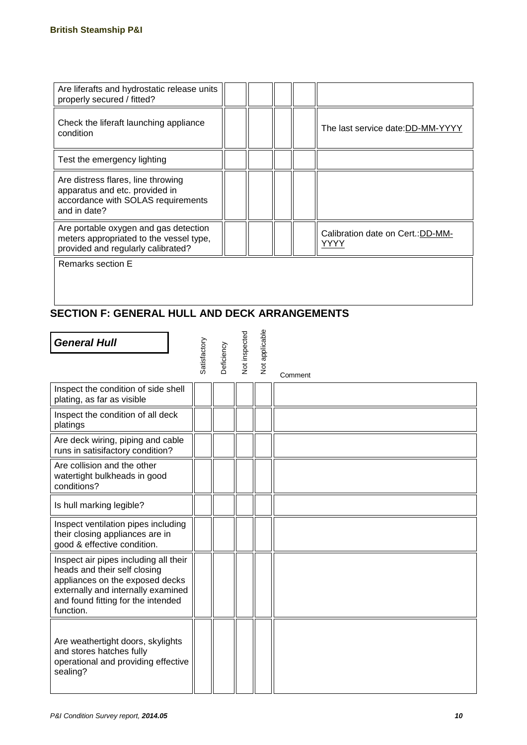| Are liferafts and hydrostatic release units<br>properly secured / fitted?                                                  |  |  |                                          |
|----------------------------------------------------------------------------------------------------------------------------|--|--|------------------------------------------|
| Check the liferaft launching appliance<br>condition                                                                        |  |  | The last service date:DD-MM-YYYY         |
| Test the emergency lighting                                                                                                |  |  |                                          |
| Are distress flares, line throwing<br>apparatus and etc. provided in<br>accordance with SOLAS requirements<br>and in date? |  |  |                                          |
| Are portable oxygen and gas detection<br>meters appropriated to the vessel type,<br>provided and regularly calibrated?     |  |  | Calibration date on Cert.:DD-MM-<br>YYYY |
| Remarks section E                                                                                                          |  |  |                                          |

#### **SECTION F: GENERAL HULL AND DECK ARRANGEMENTS**

| <b>General Hull</b>                                                                                                                                                                               | Satisfactory | Deficiency | Not inspected | Not applicable | Comment |
|---------------------------------------------------------------------------------------------------------------------------------------------------------------------------------------------------|--------------|------------|---------------|----------------|---------|
| Inspect the condition of side shell<br>plating, as far as visible                                                                                                                                 |              |            |               |                |         |
| Inspect the condition of all deck<br>platings                                                                                                                                                     |              |            |               |                |         |
| Are deck wiring, piping and cable<br>runs in satisifactory condition?                                                                                                                             |              |            |               |                |         |
| Are collision and the other<br>watertight bulkheads in good<br>conditions?                                                                                                                        |              |            |               |                |         |
| Is hull marking legible?                                                                                                                                                                          |              |            |               |                |         |
| Inspect ventilation pipes including<br>their closing appliances are in<br>good & effective condition.                                                                                             |              |            |               |                |         |
| Inspect air pipes including all their<br>heads and their self closing<br>appliances on the exposed decks<br>externally and internally examined<br>and found fitting for the intended<br>function. |              |            |               |                |         |
| Are weathertight doors, skylights<br>and stores hatches fully<br>operational and providing effective<br>sealing?                                                                                  |              |            |               |                |         |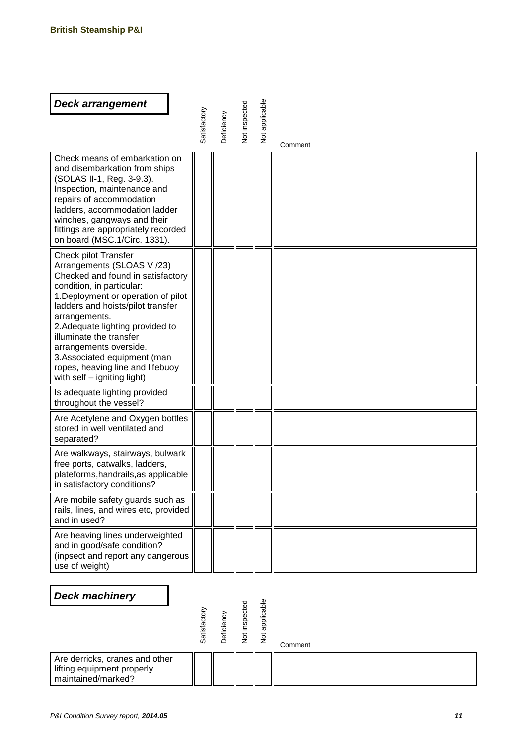| <b>Deck arrangement</b>                                                                                                                                                                                                                                                                                                                                                                                      |              |                   |                      |                       |         |
|--------------------------------------------------------------------------------------------------------------------------------------------------------------------------------------------------------------------------------------------------------------------------------------------------------------------------------------------------------------------------------------------------------------|--------------|-------------------|----------------------|-----------------------|---------|
|                                                                                                                                                                                                                                                                                                                                                                                                              | Satisfactory | <b>Deficiency</b> | <b>Vot inspected</b> | <b>Vot applicable</b> |         |
|                                                                                                                                                                                                                                                                                                                                                                                                              |              |                   |                      |                       | Comment |
| Check means of embarkation on<br>and disembarkation from ships<br>(SOLAS II-1, Reg. 3-9.3).<br>Inspection, maintenance and<br>repairs of accommodation<br>ladders, accommodation ladder<br>winches, gangways and their<br>fittings are appropriately recorded<br>on board (MSC.1/Circ. 1331).                                                                                                                |              |                   |                      |                       |         |
| Check pilot Transfer<br>Arrangements (SLOAS V/23)<br>Checked and found in satisfactory<br>condition, in particular:<br>1. Deployment or operation of pilot<br>ladders and hoists/pilot transfer<br>arrangements.<br>2. Adequate lighting provided to<br>illuminate the transfer<br>arrangements overside.<br>3. Associated equipment (man<br>ropes, heaving line and lifebuoy<br>with self - igniting light) |              |                   |                      |                       |         |
| Is adequate lighting provided<br>throughout the vessel?                                                                                                                                                                                                                                                                                                                                                      |              |                   |                      |                       |         |
| Are Acetylene and Oxygen bottles<br>stored in well ventilated and<br>separated?                                                                                                                                                                                                                                                                                                                              |              |                   |                      |                       |         |
| Are walkways, stairways, bulwark<br>free ports, catwalks, ladders,<br>plateforms, handrails, as applicable<br>in satisfactory conditions?                                                                                                                                                                                                                                                                    |              |                   |                      |                       |         |
| Are mobile safety guards such as<br>rails, lines, and wires etc, provided<br>and in used?                                                                                                                                                                                                                                                                                                                    |              |                   |                      |                       |         |
| Are heaving lines underweighted<br>and in good/safe condition?<br>(inpsect and report any dangerous<br>use of weight)                                                                                                                                                                                                                                                                                        |              |                   |                      |                       |         |
| <b>Deck machinery</b>                                                                                                                                                                                                                                                                                                                                                                                        |              |                   |                      |                       |         |
|                                                                                                                                                                                                                                                                                                                                                                                                              |              |                   |                      |                       |         |
|                                                                                                                                                                                                                                                                                                                                                                                                              | Satisfactory | Deficiency        | Not inspected        | Not applicable        | Comment |
| Are derricks, cranes and other<br>lifting equipment properly<br>maintained/marked?                                                                                                                                                                                                                                                                                                                           |              |                   |                      |                       |         |
| P&I Condition Survey report, 2014.05                                                                                                                                                                                                                                                                                                                                                                         |              |                   |                      |                       | 11      |

#### *Deck machinery*

|                                                                                    | Satisfactory | Deficier | rspect<br>$\frac{5}{2}$ | ብን<br>ఔ<br>ā<br>ၕ | Comment |
|------------------------------------------------------------------------------------|--------------|----------|-------------------------|-------------------|---------|
| Are derricks, cranes and other<br>lifting equipment properly<br>maintained/marked? |              |          |                         |                   |         |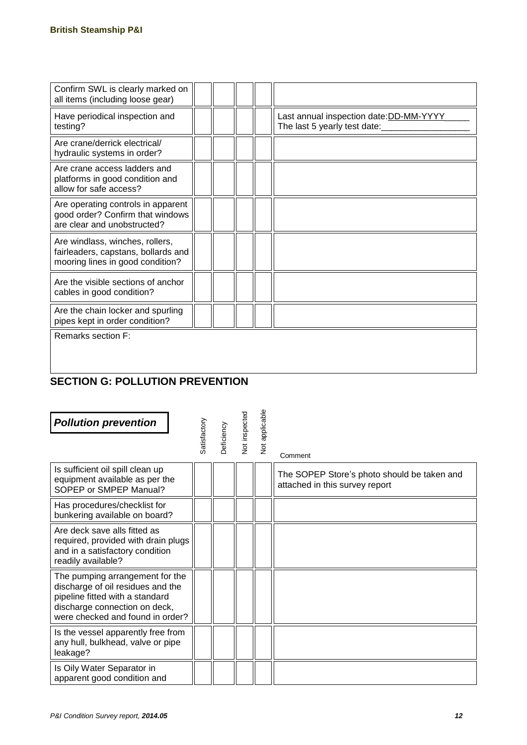| Confirm SWL is clearly marked on<br>all items (including loose gear)                                       |  |  |                                                                         |
|------------------------------------------------------------------------------------------------------------|--|--|-------------------------------------------------------------------------|
| Have periodical inspection and<br>testing?                                                                 |  |  | Last annual inspection date: DD-MM-YYYY<br>The last 5 yearly test date: |
| Are crane/derrick electrical/<br>hydraulic systems in order?                                               |  |  |                                                                         |
| Are crane access ladders and<br>platforms in good condition and<br>allow for safe access?                  |  |  |                                                                         |
| Are operating controls in apparent<br>good order? Confirm that windows<br>are clear and unobstructed?      |  |  |                                                                         |
| Are windlass, winches, rollers,<br>fairleaders, capstans, bollards and<br>mooring lines in good condition? |  |  |                                                                         |
| Are the visible sections of anchor<br>cables in good condition?                                            |  |  |                                                                         |
| Are the chain locker and spurling<br>pipes kept in order condition?                                        |  |  |                                                                         |
| Remarks section F:                                                                                         |  |  |                                                                         |
|                                                                                                            |  |  |                                                                         |

### **SECTION G: POLLUTION PREVENTION**

| <b>Pollution prevention</b>                                                                                                                                                  | Satisfactory | Deficiency | <b>Vot inspected</b> | Not applicable | Comment                                                                       |
|------------------------------------------------------------------------------------------------------------------------------------------------------------------------------|--------------|------------|----------------------|----------------|-------------------------------------------------------------------------------|
| Is sufficient oil spill clean up<br>equipment available as per the<br>SOPEP or SMPEP Manual?                                                                                 |              |            |                      |                | The SOPEP Store's photo should be taken and<br>attached in this survey report |
| Has procedures/checklist for<br>bunkering available on board?                                                                                                                |              |            |                      |                |                                                                               |
| Are deck save alls fitted as<br>required, provided with drain plugs<br>and in a satisfactory condition<br>readily available?                                                 |              |            |                      |                |                                                                               |
| The pumping arrangement for the<br>discharge of oil residues and the<br>pipeline fitted with a standard<br>discharge connection on deck,<br>were checked and found in order? |              |            |                      |                |                                                                               |
| Is the vessel apparently free from<br>any hull, bulkhead, valve or pipe<br>leakage?                                                                                          |              |            |                      |                |                                                                               |
| Is Oily Water Separator in<br>apparent good condition and                                                                                                                    |              |            |                      |                |                                                                               |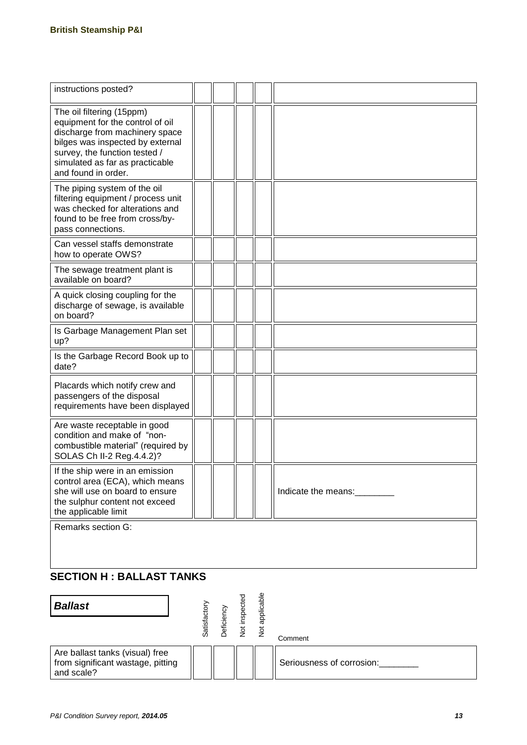| instructions posted?                                                                                                                                                                                                           |  |  |                     |
|--------------------------------------------------------------------------------------------------------------------------------------------------------------------------------------------------------------------------------|--|--|---------------------|
| The oil filtering (15ppm)<br>equipment for the control of oil<br>discharge from machinery space<br>bilges was inspected by external<br>survey, the function tested /<br>simulated as far as practicable<br>and found in order. |  |  |                     |
| The piping system of the oil<br>filtering equipment / process unit<br>was checked for alterations and<br>found to be free from cross/by-<br>pass connections.                                                                  |  |  |                     |
| Can vessel staffs demonstrate<br>how to operate OWS?                                                                                                                                                                           |  |  |                     |
| The sewage treatment plant is<br>available on board?                                                                                                                                                                           |  |  |                     |
| A quick closing coupling for the<br>discharge of sewage, is available<br>on board?                                                                                                                                             |  |  |                     |
| Is Garbage Management Plan set<br>up?                                                                                                                                                                                          |  |  |                     |
| Is the Garbage Record Book up to<br>date?                                                                                                                                                                                      |  |  |                     |
| Placards which notify crew and<br>passengers of the disposal<br>requirements have been displayed                                                                                                                               |  |  |                     |
| Are waste receptable in good<br>condition and make of "non-<br>combustible material" (required by<br>SOLAS Ch II-2 Reg.4.4.2)?                                                                                                 |  |  |                     |
| If the ship were in an emission<br>control area (ECA), which means<br>she will use on board to ensure<br>the sulphur content not exceed<br>the applicable limit                                                                |  |  | Indicate the means: |
| Remarks section G:                                                                                                                                                                                                             |  |  |                     |

#### **SECTION H : BALLAST TANKS**

| <b>Ballast</b>                                                                     | Satisfact | Deficien | insper<br>$\frac{5}{2}$ | applicable<br>$\frac{5}{2}$ | Comment                   |
|------------------------------------------------------------------------------------|-----------|----------|-------------------------|-----------------------------|---------------------------|
| Are ballast tanks (visual) free<br>from significant wastage, pitting<br>and scale? |           |          |                         |                             | Seriousness of corrosion: |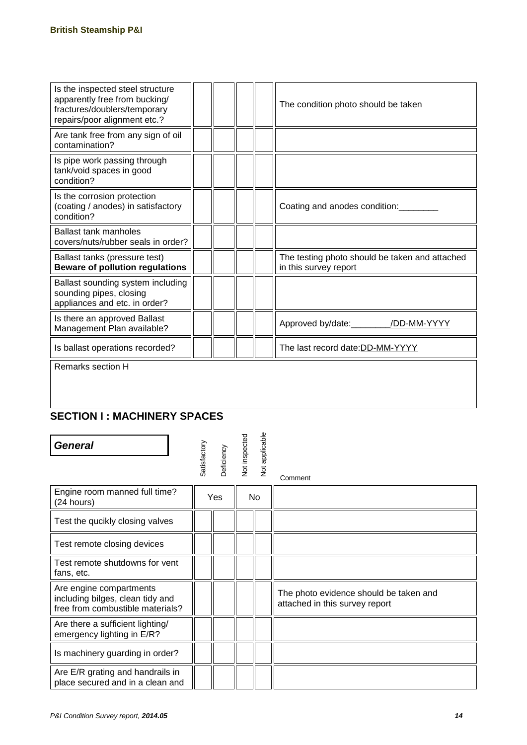| Is the inspected steel structure<br>apparently free from bucking/<br>fractures/doublers/temporary<br>repairs/poor alignment etc.? |  |  |  | The condition photo should be taken                                     |  |  |  |
|-----------------------------------------------------------------------------------------------------------------------------------|--|--|--|-------------------------------------------------------------------------|--|--|--|
| Are tank free from any sign of oil<br>contamination?                                                                              |  |  |  |                                                                         |  |  |  |
| Is pipe work passing through<br>tank/void spaces in good<br>condition?                                                            |  |  |  |                                                                         |  |  |  |
| Is the corrosion protection<br>(coating / anodes) in satisfactory<br>condition?                                                   |  |  |  | Coating and anodes condition:                                           |  |  |  |
| <b>Ballast tank manholes</b><br>covers/nuts/rubber seals in order?                                                                |  |  |  |                                                                         |  |  |  |
| Ballast tanks (pressure test)<br><b>Beware of pollution regulations</b>                                                           |  |  |  | The testing photo should be taken and attached<br>in this survey report |  |  |  |
| Ballast sounding system including<br>sounding pipes, closing<br>appliances and etc. in order?                                     |  |  |  |                                                                         |  |  |  |
| Is there an approved Ballast<br>Management Plan available?                                                                        |  |  |  | Approved by/date:_________/DD-MM-YYYY                                   |  |  |  |
| Is ballast operations recorded?                                                                                                   |  |  |  | The last record date:DD-MM-YYYY                                         |  |  |  |
| Remarks section H                                                                                                                 |  |  |  |                                                                         |  |  |  |

#### **SECTION I : MACHINERY SPACES**

| <b>General</b>                                                                                  | Satisfactory | Deficiency | <b>Not inspected</b> | Not applicable | Comment                                                                  |
|-------------------------------------------------------------------------------------------------|--------------|------------|----------------------|----------------|--------------------------------------------------------------------------|
| Engine room manned full time?<br>(24 hours)                                                     |              | Yes        |                      | No.            |                                                                          |
| Test the qucikly closing valves                                                                 |              |            |                      |                |                                                                          |
| Test remote closing devices                                                                     |              |            |                      |                |                                                                          |
| Test remote shutdowns for vent<br>fans, etc.                                                    |              |            |                      |                |                                                                          |
| Are engine compartments<br>including bilges, clean tidy and<br>free from combustible materials? |              |            |                      |                | The photo evidence should be taken and<br>attached in this survey report |
| Are there a sufficient lighting/<br>emergency lighting in E/R?                                  |              |            |                      |                |                                                                          |
| Is machinery guarding in order?                                                                 |              |            |                      |                |                                                                          |
| Are E/R grating and handrails in<br>place secured and in a clean and                            |              |            |                      |                |                                                                          |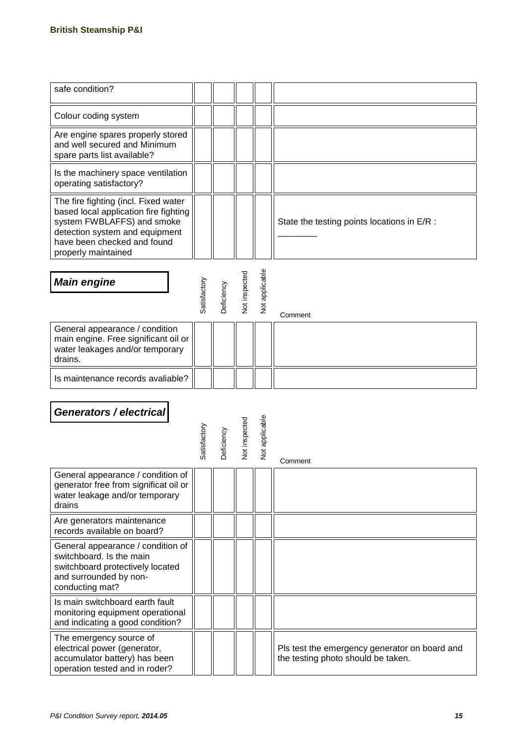| safe condition?                                                                                                                                                                                     |              |                   |                      |                |                                                                                     |
|-----------------------------------------------------------------------------------------------------------------------------------------------------------------------------------------------------|--------------|-------------------|----------------------|----------------|-------------------------------------------------------------------------------------|
|                                                                                                                                                                                                     |              |                   |                      |                |                                                                                     |
| Colour coding system                                                                                                                                                                                |              |                   |                      |                |                                                                                     |
| Are engine spares properly stored<br>and well secured and Minimum<br>spare parts list available?                                                                                                    |              |                   |                      |                |                                                                                     |
| Is the machinery space ventilation<br>operating satisfactory?                                                                                                                                       |              |                   |                      |                |                                                                                     |
| The fire fighting (incl. Fixed water<br>based local application fire fighting<br>system FWBLAFFS) and smoke<br>detection system and equipment<br>have been checked and found<br>properly maintained |              |                   |                      |                | State the testing points locations in E/R :                                         |
| <b>Main engine</b>                                                                                                                                                                                  | Satisfactory | <b>Deficiency</b> | <b>Vot inspected</b> | Not applicable | Comment                                                                             |
| General appearance / condition<br>main engine. Free significant oil or<br>water leakages and/or temporary<br>drains.                                                                                |              |                   |                      |                |                                                                                     |
| Is maintenance records avaliable?                                                                                                                                                                   |              |                   |                      |                |                                                                                     |
| Generators / electrical                                                                                                                                                                             | Satisfactory | <b>Deficiency</b> | Not inspected        | Not applicable | Comment                                                                             |
| General appearance / condition of  <br>generator free from significat oil or<br>water leakage and/or temporary<br>drains                                                                            |              |                   |                      |                |                                                                                     |
| Are generators maintenance<br>records available on board?                                                                                                                                           |              |                   |                      |                |                                                                                     |
| General appearance / condition of<br>switchboard. Is the main<br>switchboard protectively located<br>and surrounded by non-<br>conducting mat?                                                      |              |                   |                      |                |                                                                                     |
| Is main switchboard earth fault<br>monitoring equipment operational<br>and indicating a good condition?                                                                                             |              |                   |                      |                |                                                                                     |
| The emergency source of<br>electrical power (generator,<br>accumulator battery) has been<br>operation tested and in roder?                                                                          |              |                   |                      |                | Pls test the emergency generator on board and<br>the testing photo should be taken. |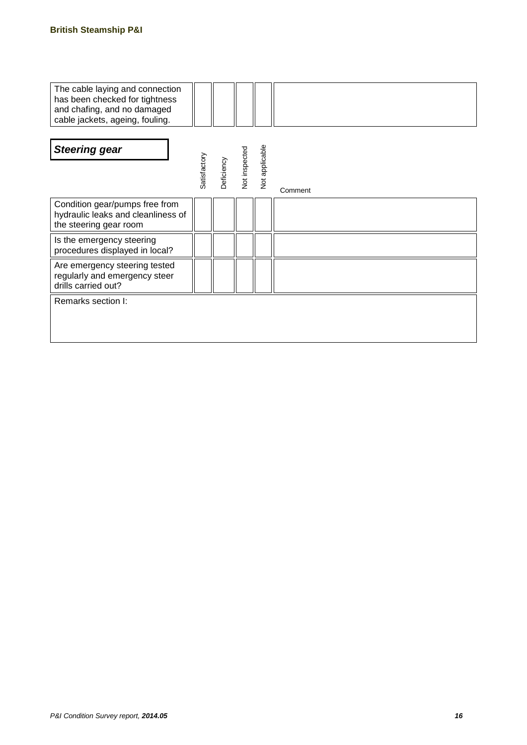| The cable laying and connection<br>has been checked for tightness<br>and chafing, and no damaged<br>cable jackets, ageing, fouling. |              |            |               |                |         |
|-------------------------------------------------------------------------------------------------------------------------------------|--------------|------------|---------------|----------------|---------|
| <b>Steering gear</b>                                                                                                                | Satisfactory | Deficiency | Not inspected | Not applicable | Comment |
| Condition gear/pumps free from<br>hydraulic leaks and cleanliness of<br>the steering gear room                                      |              |            |               |                |         |
| Is the emergency steering<br>procedures displayed in local?                                                                         |              |            |               |                |         |
| Are emergency steering tested<br>regularly and emergency steer<br>drills carried out?                                               |              |            |               |                |         |
| Remarks section I:                                                                                                                  |              |            |               |                |         |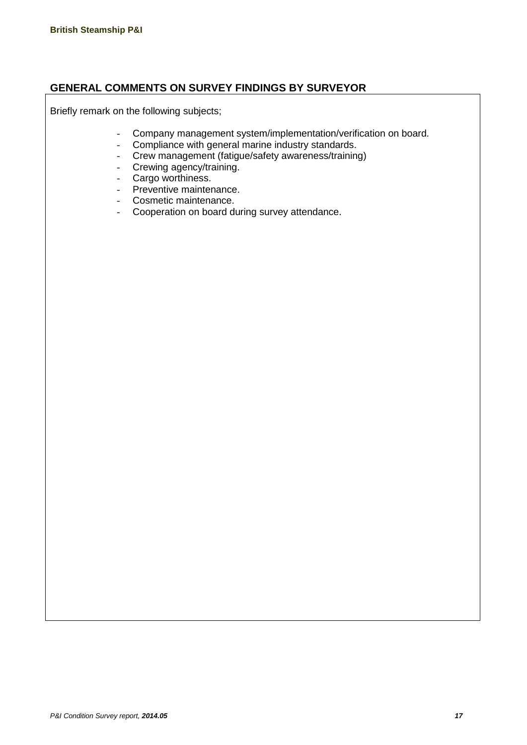#### **GENERAL COMMENTS ON SURVEY FINDINGS BY SURVEYOR**

Briefly remark on the following subjects;

- Company management system/implementation/verification on board.<br>- Compliance with general marine industry standards.
- Compliance with general marine industry standards.
- Crew management (fatigue/safety awareness/training)
- Crewing agency/training.
- Cargo worthiness.<br>- Preventive mainter
- Preventive maintenance.
- Cosmetic maintenance.
- Cooperation on board during survey attendance.